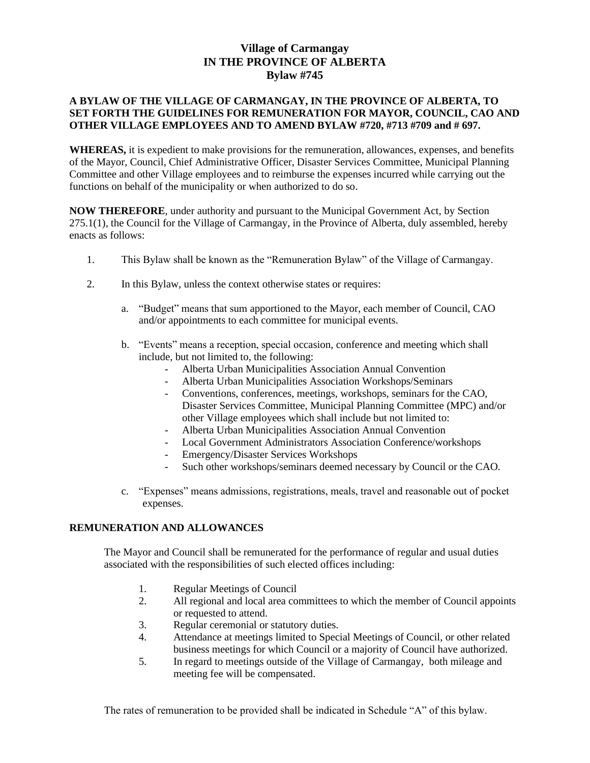# **Village of Carmangay IN THE PROVINCE OF ALBERTA Bylaw #745**

# **A BYLAW OF THE VILLAGE OF CARMANGAY, IN THE PROVINCE OF ALBERTA, TO SET FORTH THE GUIDELINES FOR REMUNERATION FOR MAYOR, COUNCIL, CAO AND OTHER VILLAGE EMPLOYEES AND TO AMEND BYLAW #720, #713 #709 and # 697.**

**WHEREAS,** it is expedient to make provisions for the remuneration, allowances, expenses, and benefits of the Mayor, Council, Chief Administrative Officer, Disaster Services Committee, Municipal Planning Committee and other Village employees and to reimburse the expenses incurred while carrying out the functions on behalf of the municipality or when authorized to do so.

**NOW THEREFORE**, under authority and pursuant to the Municipal Government Act, by Section 275.1(1), the Council for the Village of Carmangay, in the Province of Alberta, duly assembled, hereby enacts as follows:

- 1. This Bylaw shall be known as the "Remuneration Bylaw" of the Village of Carmangay.
- 2. In this Bylaw, unless the context otherwise states or requires:
	- a. "Budget" means that sum apportioned to the Mayor, each member of Council, CAO and/or appointments to each committee for municipal events.
	- b. "Events" means a reception, special occasion, conference and meeting which shall include, but not limited to, the following:
		- Alberta Urban Municipalities Association Annual Convention
		- Alberta Urban Municipalities Association Workshops/Seminars
		- Conventions, conferences, meetings, workshops, seminars for the CAO, Disaster Services Committee, Municipal Planning Committee (MPC) and/or other Village employees which shall include but not limited to:
		- Alberta Urban Municipalities Association Annual Convention
		- Local Government Administrators Association Conference/workshops
		- Emergency/Disaster Services Workshops
		- Such other workshops/seminars deemed necessary by Council or the CAO.
	- c. "Expenses" means admissions, registrations, meals, travel and reasonable out of pocket expenses.

## **REMUNERATION AND ALLOWANCES**

The Mayor and Council shall be remunerated for the performance of regular and usual duties associated with the responsibilities of such elected offices including:

- 1. Regular Meetings of Council
- 2. All regional and local area committees to which the member of Council appoints or requested to attend.
- 3. Regular ceremonial or statutory duties.
- 4. Attendance at meetings limited to Special Meetings of Council, or other related business meetings for which Council or a majority of Council have authorized.
- 5. In regard to meetings outside of the Village of Carmangay, both mileage and meeting fee will be compensated.

The rates of remuneration to be provided shall be indicated in Schedule "A" of this bylaw.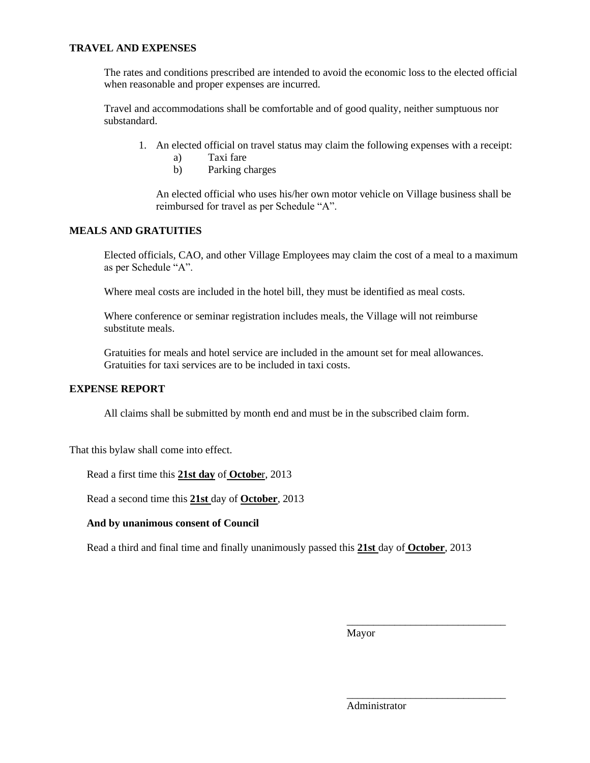## **TRAVEL AND EXPENSES**

The rates and conditions prescribed are intended to avoid the economic loss to the elected official when reasonable and proper expenses are incurred.

Travel and accommodations shall be comfortable and of good quality, neither sumptuous nor substandard.

- 1. An elected official on travel status may claim the following expenses with a receipt:
	- a) Taxi fare
	- b) Parking charges

An elected official who uses his/her own motor vehicle on Village business shall be reimbursed for travel as per Schedule "A".

## **MEALS AND GRATUITIES**

Elected officials, CAO, and other Village Employees may claim the cost of a meal to a maximum as per Schedule "A".

Where meal costs are included in the hotel bill, they must be identified as meal costs.

Where conference or seminar registration includes meals, the Village will not reimburse substitute meals.

Gratuities for meals and hotel service are included in the amount set for meal allowances. Gratuities for taxi services are to be included in taxi costs.

## **EXPENSE REPORT**

All claims shall be submitted by month end and must be in the subscribed claim form.

That this bylaw shall come into effect.

Read a first time this **21st day** of **Octobe**r, 2013

Read a second time this **21st** day of **October**, 2013

#### **And by unanimous consent of Council**

Read a third and final time and finally unanimously passed this **21st** day of **October**, 2013

Mayor

Administrator

\_\_\_\_\_\_\_\_\_\_\_\_\_\_\_\_\_\_\_\_\_\_\_\_\_\_\_\_\_\_

\_\_\_\_\_\_\_\_\_\_\_\_\_\_\_\_\_\_\_\_\_\_\_\_\_\_\_\_\_\_